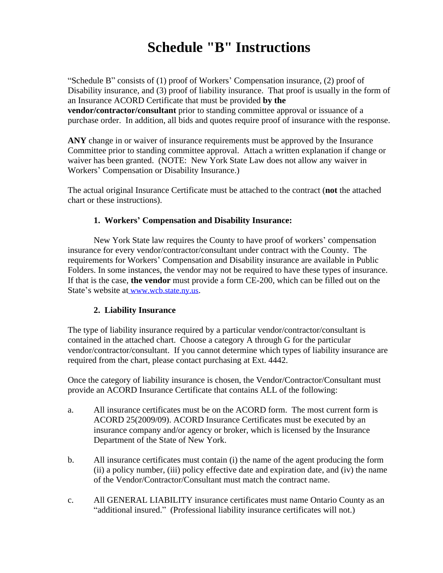# **Schedule "B" Instructions**

"Schedule B" consists of (1) proof of Workers' Compensation insurance, (2) proof of Disability insurance, and (3) proof of liability insurance. That proof is usually in the form of an Insurance ACORD Certificate that must be provided **by the vendor/contractor/consultant** prior to standing committee approval or issuance of a purchase order. In addition, all bids and quotes require proof of insurance with the response.

**ANY** change in or waiver of insurance requirements must be approved by the Insurance Committee prior to standing committee approval. Attach a written explanation if change or waiver has been granted. (NOTE: New York State Law does not allow any waiver in Workers' Compensation or Disability Insurance.)

The actual original Insurance Certificate must be attached to the contract (**not** the attached chart or these instructions).

### **1. Workers' Compensation and Disability Insurance:**

New York State law requires the County to have proof of workers' compensation insurance for every vendor/contractor/consultant under contract with the County. The requirements for Workers' Compensation and Disability insurance are available in Public Folders. In some instances, the vendor may not be required to have these types of insurance. If that is the case, **the vendor** must provide a form CE-200, which can be filled out on the State's website at www.wcb.state.ny.us.

### **2. Liability Insurance**

The type of liability insurance required by a particular vendor/contractor/consultant is contained in the attached chart. Choose a category A through G for the particular vendor/contractor/consultant. If you cannot determine which types of liability insurance are required from the chart, please contact purchasing at Ext. 4442.

Once the category of liability insurance is chosen, the Vendor/Contractor/Consultant must provide an ACORD Insurance Certificate that contains ALL of the following:

- a. All insurance certificates must be on the ACORD form. The most current form is ACORD 25(2009/09). ACORD Insurance Certificates must be executed by an insurance company and/or agency or broker, which is licensed by the Insurance Department of the State of New York.
- b. All insurance certificates must contain (i) the name of the agent producing the form (ii) a policy number, (iii) policy effective date and expiration date, and (iv) the name of the Vendor/Contractor/Consultant must match the contract name.
- c. All GENERAL LIABILITY insurance certificates must name Ontario County as an "additional insured." (Professional liability insurance certificates will not.)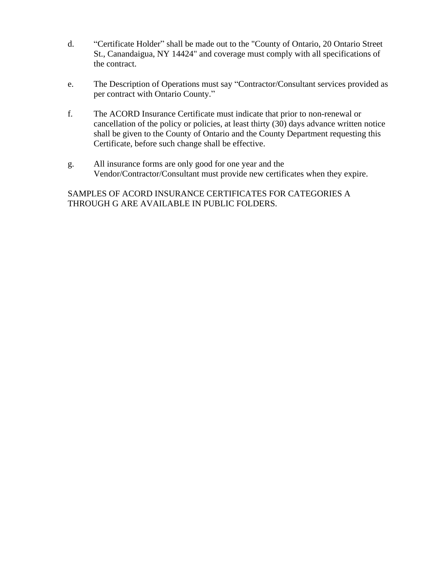- d. "Certificate Holder" shall be made out to the "County of Ontario, 20 Ontario Street St., Canandaigua, NY 14424" and coverage must comply with all specifications of the contract.
- e. The Description of Operations must say "Contractor/Consultant services provided as per contract with Ontario County."
- f. The ACORD Insurance Certificate must indicate that prior to non-renewal or cancellation of the policy or policies, at least thirty (30) days advance written notice shall be given to the County of Ontario and the County Department requesting this Certificate, before such change shall be effective.
- g. All insurance forms are only good for one year and the Vendor/Contractor/Consultant must provide new certificates when they expire.

## SAMPLES OF ACORD INSURANCE CERTIFICATES FOR CATEGORIES A THROUGH G ARE AVAILABLE IN PUBLIC FOLDERS.